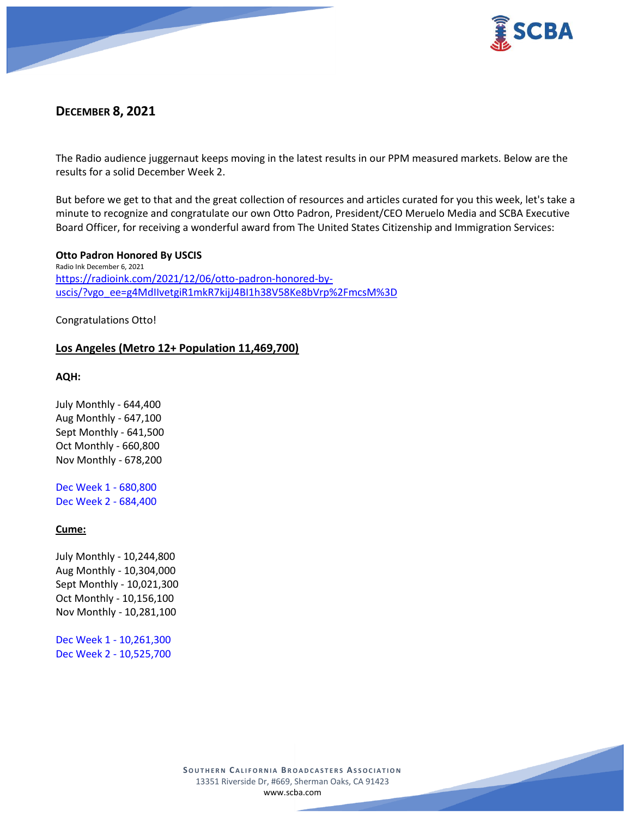



# **DECEMBER 8, 2021**

The Radio audience juggernaut keeps moving in the latest results in our PPM measured markets. Below are the results for a solid December Week 2.

But before we get to that and the great collection of resources and articles curated for you this week, let's take a minute to recognize and congratulate our own Otto Padron, President/CEO Meruelo Media and SCBA Executive Board Officer, for receiving a wonderful award from The United States Citizenship and Immigration Services:

**Otto Padron Honored By USCIS** Radio Ink December 6, 2021 [https://radioink.com/2021/12/06/otto-padron-honored-by](https://radioink.com/2021/12/06/otto-padron-honored-by-uscis/?vgo_ee=g4MdIIvetgiR1mkR7kijJ4BI1h38V58Ke8bVrp%2FmcsM%3D)[uscis/?vgo\\_ee=g4MdIIvetgiR1mkR7kijJ4BI1h38V58Ke8bVrp%2FmcsM%3D](https://radioink.com/2021/12/06/otto-padron-honored-by-uscis/?vgo_ee=g4MdIIvetgiR1mkR7kijJ4BI1h38V58Ke8bVrp%2FmcsM%3D)

Congratulations Otto!

# **Los Angeles (Metro 12+ Population 11,469,700)**

**AQH:**

July Monthly - 644,400 Aug Monthly - 647,100 Sept Monthly - 641,500 Oct Monthly - 660,800 Nov Monthly - 678,200

Dec Week 1 - 680,800 Dec Week 2 - 684,400

# **Cume:**

July Monthly - 10,244,800 Aug Monthly - 10,304,000 Sept Monthly - 10,021,300 Oct Monthly - 10,156,100 Nov Monthly - 10,281,100

Dec Week 1 - 10,261,300 Dec Week 2 - 10,525,700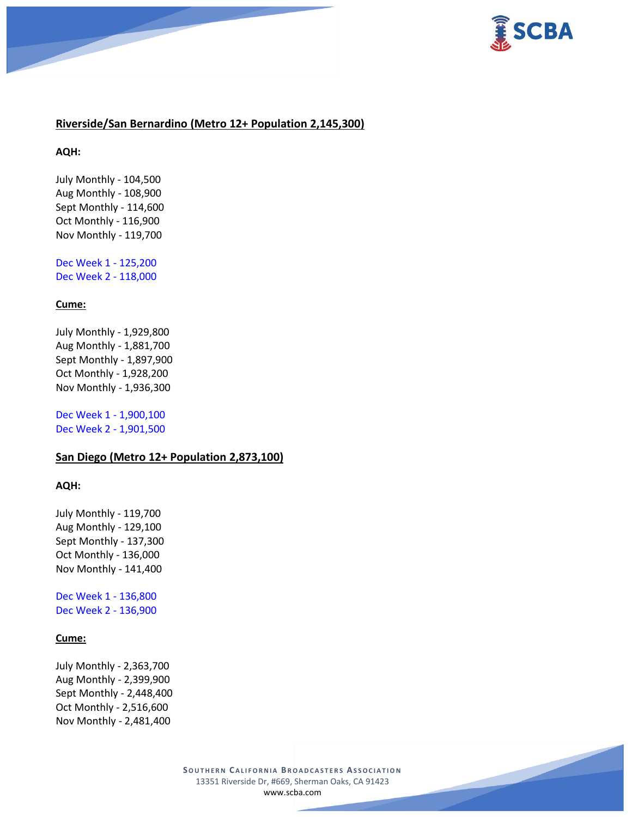



# **Riverside/San Bernardino (Metro 12+ Population 2,145,300)**

#### **AQH:**

July Monthly - 104,500 Aug Monthly - 108,900 Sept Monthly - 114,600 Oct Monthly - 116,900 Nov Monthly - 119,700

Dec Week 1 - 125,200 Dec Week 2 - 118,000

### **Cume:**

July Monthly - 1,929,800 Aug Monthly - 1,881,700 Sept Monthly - 1,897,900 Oct Monthly - 1,928,200 Nov Monthly - 1,936,300

Dec Week 1 - 1,900,100 Dec Week 2 - 1,901,500

### **San Diego (Metro 12+ Population 2,873,100)**

#### **AQH:**

July Monthly - 119,700 Aug Monthly - 129,100 Sept Monthly - 137,300 Oct Monthly - 136,000 Nov Monthly - 141,400

Dec Week 1 - 136,800 Dec Week 2 - 136,900

### **Cume:**

July Monthly - 2,363,700 Aug Monthly - 2,399,900 Sept Monthly - 2,448,400 Oct Monthly - 2,516,600 Nov Monthly - 2,481,400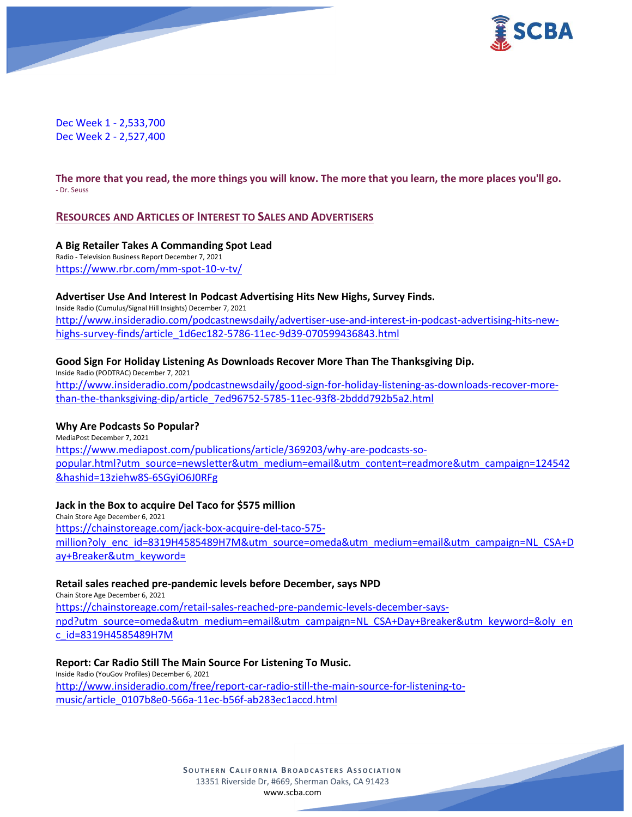



Dec Week 1 - 2,533,700 Dec Week 2 - 2,527,400

**The more that you read, the more things you will know. The more that you learn, the more places you'll go.** - Dr. Seuss

### **RESOURCES AND ARTICLES OF INTEREST TO SALES AND ADVERTISERS**

**A Big Retailer Takes A Commanding Spot Lead**

Radio - Television Business Report December 7, 2021 <https://www.rbr.com/mm-spot-10-v-tv/>

#### **Advertiser Use And Interest In Podcast Advertising Hits New Highs, Survey Finds.**

Inside Radio (Cumulus/Signal Hill Insights) December 7, 2021 [http://www.insideradio.com/podcastnewsdaily/advertiser-use-and-interest-in-podcast-advertising-hits-new](http://www.insideradio.com/podcastnewsdaily/advertiser-use-and-interest-in-podcast-advertising-hits-new-highs-survey-finds/article_1d6ec182-5786-11ec-9d39-070599436843.html)[highs-survey-finds/article\\_1d6ec182-5786-11ec-9d39-070599436843.html](http://www.insideradio.com/podcastnewsdaily/advertiser-use-and-interest-in-podcast-advertising-hits-new-highs-survey-finds/article_1d6ec182-5786-11ec-9d39-070599436843.html)

### **Good Sign For Holiday Listening As Downloads Recover More Than The Thanksgiving Dip.**

Inside Radio (PODTRAC) December 7, 2021 [http://www.insideradio.com/podcastnewsdaily/good-sign-for-holiday-listening-as-downloads-recover-more](http://www.insideradio.com/podcastnewsdaily/good-sign-for-holiday-listening-as-downloads-recover-more-than-the-thanksgiving-dip/article_7ed96752-5785-11ec-93f8-2bddd792b5a2.html)[than-the-thanksgiving-dip/article\\_7ed96752-5785-11ec-93f8-2bddd792b5a2.html](http://www.insideradio.com/podcastnewsdaily/good-sign-for-holiday-listening-as-downloads-recover-more-than-the-thanksgiving-dip/article_7ed96752-5785-11ec-93f8-2bddd792b5a2.html)

#### **Why Are Podcasts So Popular?**

MediaPost December 7, 2021 [https://www.mediapost.com/publications/article/369203/why-are-podcasts-so](https://www.mediapost.com/publications/article/369203/why-are-podcasts-so-popular.html?utm_source=newsletter&utm_medium=email&utm_content=readmore&utm_campaign=124542&hashid=13ziehw8S-6SGyiO6J0RFg)[popular.html?utm\\_source=newsletter&utm\\_medium=email&utm\\_content=readmore&utm\\_campaign=124542](https://www.mediapost.com/publications/article/369203/why-are-podcasts-so-popular.html?utm_source=newsletter&utm_medium=email&utm_content=readmore&utm_campaign=124542&hashid=13ziehw8S-6SGyiO6J0RFg) [&hashid=13ziehw8S-6SGyiO6J0RFg](https://www.mediapost.com/publications/article/369203/why-are-podcasts-so-popular.html?utm_source=newsletter&utm_medium=email&utm_content=readmore&utm_campaign=124542&hashid=13ziehw8S-6SGyiO6J0RFg)

# **Jack in the Box to acquire Del Taco for \$575 million**

Chain Store Age December 6, 2021 [https://chainstoreage.com/jack-box-acquire-del-taco-575](https://chainstoreage.com/jack-box-acquire-del-taco-575-million?oly_enc_id=8319H4585489H7M&utm_source=omeda&utm_medium=email&utm_campaign=NL_CSA+Day+Breaker&utm_keyword=) [million?oly\\_enc\\_id=8319H4585489H7M&utm\\_source=omeda&utm\\_medium=email&utm\\_campaign=NL\\_CSA+D](https://chainstoreage.com/jack-box-acquire-del-taco-575-million?oly_enc_id=8319H4585489H7M&utm_source=omeda&utm_medium=email&utm_campaign=NL_CSA+Day+Breaker&utm_keyword=) [ay+Breaker&utm\\_keyword=](https://chainstoreage.com/jack-box-acquire-del-taco-575-million?oly_enc_id=8319H4585489H7M&utm_source=omeda&utm_medium=email&utm_campaign=NL_CSA+Day+Breaker&utm_keyword=)

#### **Retail sales reached pre-pandemic levels before December, says NPD**

Chain Store Age December 6, 2021 [https://chainstoreage.com/retail-sales-reached-pre-pandemic-levels-december-says](https://chainstoreage.com/retail-sales-reached-pre-pandemic-levels-december-says-npd?utm_source=omeda&utm_medium=email&utm_campaign=NL_CSA+Day+Breaker&utm_keyword=&oly_enc_id=8319H4585489H7M)[npd?utm\\_source=omeda&utm\\_medium=email&utm\\_campaign=NL\\_CSA+Day+Breaker&utm\\_keyword=&oly\\_en](https://chainstoreage.com/retail-sales-reached-pre-pandemic-levels-december-says-npd?utm_source=omeda&utm_medium=email&utm_campaign=NL_CSA+Day+Breaker&utm_keyword=&oly_enc_id=8319H4585489H7M) [c\\_id=8319H4585489H7M](https://chainstoreage.com/retail-sales-reached-pre-pandemic-levels-december-says-npd?utm_source=omeda&utm_medium=email&utm_campaign=NL_CSA+Day+Breaker&utm_keyword=&oly_enc_id=8319H4585489H7M)

#### **Report: Car Radio Still The Main Source For Listening To Music.**

Inside Radio (YouGov Profiles) December 6, 2021 [http://www.insideradio.com/free/report-car-radio-still-the-main-source-for-listening-to](http://www.insideradio.com/free/report-car-radio-still-the-main-source-for-listening-to-music/article_0107b8e0-566a-11ec-b56f-ab283ec1accd.html)[music/article\\_0107b8e0-566a-11ec-b56f-ab283ec1accd.html](http://www.insideradio.com/free/report-car-radio-still-the-main-source-for-listening-to-music/article_0107b8e0-566a-11ec-b56f-ab283ec1accd.html)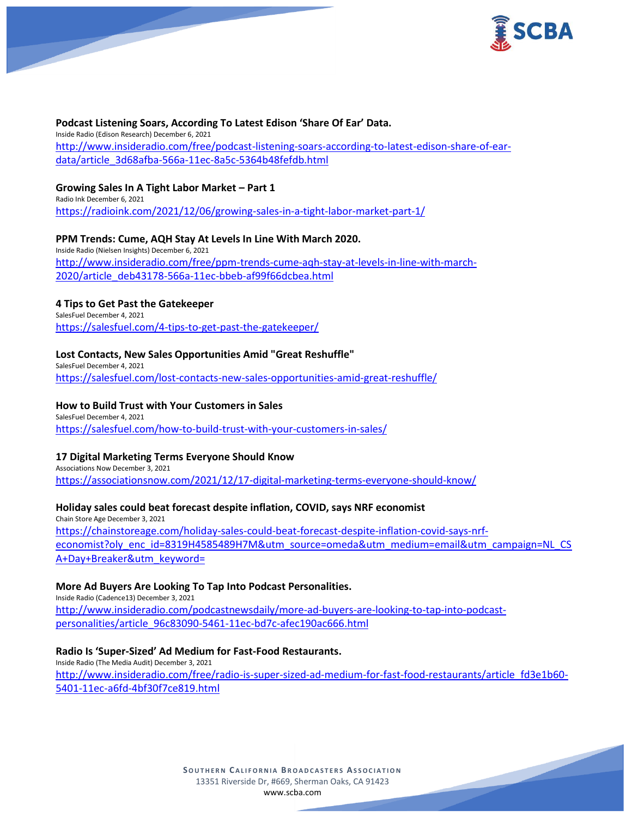



#### **Podcast Listening Soars, According To Latest Edison 'Share Of Ear' Data.**

Inside Radio (Edison Research) December 6, 2021 [http://www.insideradio.com/free/podcast-listening-soars-according-to-latest-edison-share-of-ear](http://www.insideradio.com/free/podcast-listening-soars-according-to-latest-edison-share-of-ear-data/article_3d68afba-566a-11ec-8a5c-5364b48fefdb.html)[data/article\\_3d68afba-566a-11ec-8a5c-5364b48fefdb.html](http://www.insideradio.com/free/podcast-listening-soars-according-to-latest-edison-share-of-ear-data/article_3d68afba-566a-11ec-8a5c-5364b48fefdb.html)

### **Growing Sales In A Tight Labor Market – Part 1**

Radio Ink December 6, 2021 <https://radioink.com/2021/12/06/growing-sales-in-a-tight-labor-market-part-1/>

### **PPM Trends: Cume, AQH Stay At Levels In Line With March 2020.**

Inside Radio (Nielsen Insights) December 6, 2021 [http://www.insideradio.com/free/ppm-trends-cume-aqh-stay-at-levels-in-line-with-march-](http://www.insideradio.com/free/ppm-trends-cume-aqh-stay-at-levels-in-line-with-march-2020/article_deb43178-566a-11ec-bbeb-af99f66dcbea.html)[2020/article\\_deb43178-566a-11ec-bbeb-af99f66dcbea.html](http://www.insideradio.com/free/ppm-trends-cume-aqh-stay-at-levels-in-line-with-march-2020/article_deb43178-566a-11ec-bbeb-af99f66dcbea.html)

### **4 Tips to Get Past the Gatekeeper**

SalesFuel December 4, 2021 <https://salesfuel.com/4-tips-to-get-past-the-gatekeeper/>

### **Lost Contacts, New Sales Opportunities Amid "Great Reshuffle"**

SalesFuel December 4, 2021 <https://salesfuel.com/lost-contacts-new-sales-opportunities-amid-great-reshuffle/>

#### **How to Build Trust with Your Customers in Sales**

SalesFuel December 4, 2021 <https://salesfuel.com/how-to-build-trust-with-your-customers-in-sales/>

#### **17 Digital Marketing Terms Everyone Should Know**

Associations Now December 3, 2021 <https://associationsnow.com/2021/12/17-digital-marketing-terms-everyone-should-know/>

# **Holiday sales could beat forecast despite inflation, COVID, says NRF economist**

Chain Store Age December 3, 2021 [https://chainstoreage.com/holiday-sales-could-beat-forecast-despite-inflation-covid-says-nrf](https://chainstoreage.com/holiday-sales-could-beat-forecast-despite-inflation-covid-says-nrf-economist?oly_enc_id=8319H4585489H7M&utm_source=omeda&utm_medium=email&utm_campaign=NL_CSA+Day+Breaker&utm_keyword=)[economist?oly\\_enc\\_id=8319H4585489H7M&utm\\_source=omeda&utm\\_medium=email&utm\\_campaign=NL\\_CS](https://chainstoreage.com/holiday-sales-could-beat-forecast-despite-inflation-covid-says-nrf-economist?oly_enc_id=8319H4585489H7M&utm_source=omeda&utm_medium=email&utm_campaign=NL_CSA+Day+Breaker&utm_keyword=) [A+Day+Breaker&utm\\_keyword=](https://chainstoreage.com/holiday-sales-could-beat-forecast-despite-inflation-covid-says-nrf-economist?oly_enc_id=8319H4585489H7M&utm_source=omeda&utm_medium=email&utm_campaign=NL_CSA+Day+Breaker&utm_keyword=)

#### **More Ad Buyers Are Looking To Tap Into Podcast Personalities.**

Inside Radio (Cadence13) December 3, 2021 [http://www.insideradio.com/podcastnewsdaily/more-ad-buyers-are-looking-to-tap-into-podcast](http://www.insideradio.com/podcastnewsdaily/more-ad-buyers-are-looking-to-tap-into-podcast-personalities/article_96c83090-5461-11ec-bd7c-afec190ac666.html)[personalities/article\\_96c83090-5461-11ec-bd7c-afec190ac666.html](http://www.insideradio.com/podcastnewsdaily/more-ad-buyers-are-looking-to-tap-into-podcast-personalities/article_96c83090-5461-11ec-bd7c-afec190ac666.html)

#### **Radio Is 'Super-Sized' Ad Medium for Fast-Food Restaurants.**

Inside Radio (The Media Audit) December 3, 2021 [http://www.insideradio.com/free/radio-is-super-sized-ad-medium-for-fast-food-restaurants/article\\_fd3e1b60-](http://www.insideradio.com/free/radio-is-super-sized-ad-medium-for-fast-food-restaurants/article_fd3e1b60-5401-11ec-a6fd-4bf30f7ce819.html) [5401-11ec-a6fd-4bf30f7ce819.html](http://www.insideradio.com/free/radio-is-super-sized-ad-medium-for-fast-food-restaurants/article_fd3e1b60-5401-11ec-a6fd-4bf30f7ce819.html)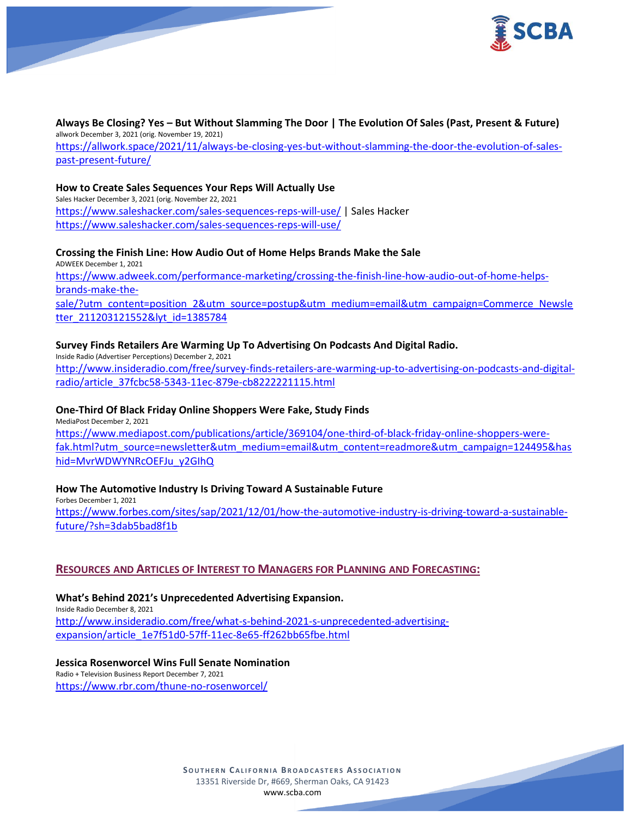



# **Always Be Closing? Yes – But Without Slamming The Door | The Evolution Of Sales (Past, Present & Future)** allwork December 3, 2021 (orig. November 19, 2021)

[https://allwork.space/2021/11/always-be-closing-yes-but-without-slamming-the-door-the-evolution-of-sales](https://allwork.space/2021/11/always-be-closing-yes-but-without-slamming-the-door-the-evolution-of-sales-past-present-future/)[past-present-future/](https://allwork.space/2021/11/always-be-closing-yes-but-without-slamming-the-door-the-evolution-of-sales-past-present-future/)

### **How to Create Sales Sequences Your Reps Will Actually Use**

Sales Hacker December 3, 2021 (orig. November 22, 2021 <https://www.saleshacker.com/sales-sequences-reps-will-use/> | Sales Hacker <https://www.saleshacker.com/sales-sequences-reps-will-use/>

### **Crossing the Finish Line: How Audio Out of Home Helps Brands Make the Sale**

ADWEEK December 1, 2021 [https://www.adweek.com/performance-marketing/crossing-the-finish-line-how-audio-out-of-home-helps](https://www.adweek.com/performance-marketing/crossing-the-finish-line-how-audio-out-of-home-helps-brands-make-the-sale/?utm_content=position_2&utm_source=postup&utm_medium=email&utm_campaign=Commerce_Newsletter_211203121552&lyt_id=1385784)[brands-make-the](https://www.adweek.com/performance-marketing/crossing-the-finish-line-how-audio-out-of-home-helps-brands-make-the-sale/?utm_content=position_2&utm_source=postup&utm_medium=email&utm_campaign=Commerce_Newsletter_211203121552&lyt_id=1385784)[sale/?utm\\_content=position\\_2&utm\\_source=postup&utm\\_medium=email&utm\\_campaign=Commerce\\_Newsle](https://www.adweek.com/performance-marketing/crossing-the-finish-line-how-audio-out-of-home-helps-brands-make-the-sale/?utm_content=position_2&utm_source=postup&utm_medium=email&utm_campaign=Commerce_Newsletter_211203121552&lyt_id=1385784) [tter\\_211203121552&lyt\\_id=1385784](https://www.adweek.com/performance-marketing/crossing-the-finish-line-how-audio-out-of-home-helps-brands-make-the-sale/?utm_content=position_2&utm_source=postup&utm_medium=email&utm_campaign=Commerce_Newsletter_211203121552&lyt_id=1385784)

### **Survey Finds Retailers Are Warming Up To Advertising On Podcasts And Digital Radio.**

Inside Radio (Advertiser Perceptions) December 2, 2021 [http://www.insideradio.com/free/survey-finds-retailers-are-warming-up-to-advertising-on-podcasts-and-digital](http://www.insideradio.com/free/survey-finds-retailers-are-warming-up-to-advertising-on-podcasts-and-digital-radio/article_37fcbc58-5343-11ec-879e-cb8222221115.html)[radio/article\\_37fcbc58-5343-11ec-879e-cb8222221115.html](http://www.insideradio.com/free/survey-finds-retailers-are-warming-up-to-advertising-on-podcasts-and-digital-radio/article_37fcbc58-5343-11ec-879e-cb8222221115.html)

# **One-Third Of Black Friday Online Shoppers Were Fake, Study Finds**

MediaPost December 2, 2021 [https://www.mediapost.com/publications/article/369104/one-third-of-black-friday-online-shoppers-were](https://www.mediapost.com/publications/article/369104/one-third-of-black-friday-online-shoppers-were-fak.html?utm_source=newsletter&utm_medium=email&utm_content=readmore&utm_campaign=124495&hashid=MvrWDWYNRcOEFJu_y2GIhQ)[fak.html?utm\\_source=newsletter&utm\\_medium=email&utm\\_content=readmore&utm\\_campaign=124495&has](https://www.mediapost.com/publications/article/369104/one-third-of-black-friday-online-shoppers-were-fak.html?utm_source=newsletter&utm_medium=email&utm_content=readmore&utm_campaign=124495&hashid=MvrWDWYNRcOEFJu_y2GIhQ) [hid=MvrWDWYNRcOEFJu\\_y2GIhQ](https://www.mediapost.com/publications/article/369104/one-third-of-black-friday-online-shoppers-were-fak.html?utm_source=newsletter&utm_medium=email&utm_content=readmore&utm_campaign=124495&hashid=MvrWDWYNRcOEFJu_y2GIhQ)

# **How The Automotive Industry Is Driving Toward A Sustainable Future**

Forbes December 1, 2021 [https://www.forbes.com/sites/sap/2021/12/01/how-the-automotive-industry-is-driving-toward-a-sustainable](https://www.forbes.com/sites/sap/2021/12/01/how-the-automotive-industry-is-driving-toward-a-sustainable-future/?sh=3dab5bad8f1b)[future/?sh=3dab5bad8f1b](https://www.forbes.com/sites/sap/2021/12/01/how-the-automotive-industry-is-driving-toward-a-sustainable-future/?sh=3dab5bad8f1b)

# **RESOURCES AND ARTICLES OF INTEREST TO MANAGERS FOR PLANNING AND FORECASTING:**

**What's Behind 2021's Unprecedented Advertising Expansion.** Inside Radio December 8, 2021 [http://www.insideradio.com/free/what-s-behind-2021-s-unprecedented-advertising](http://www.insideradio.com/free/what-s-behind-2021-s-unprecedented-advertising-expansion/article_1e7f51d0-57ff-11ec-8e65-ff262bb65fbe.html)[expansion/article\\_1e7f51d0-57ff-11ec-8e65-ff262bb65fbe.html](http://www.insideradio.com/free/what-s-behind-2021-s-unprecedented-advertising-expansion/article_1e7f51d0-57ff-11ec-8e65-ff262bb65fbe.html)

#### **Jessica Rosenworcel Wins Full Senate Nomination**

Radio + Television Business Report December 7, 2021 <https://www.rbr.com/thune-no-rosenworcel/>

> **SOUTHERN CALIFORNIA BROADCASTERS ASSOCIATION** 13351 Riverside Dr, #669, Sherman Oaks, CA 91423 [www.scba.com](http://www.scba.com/)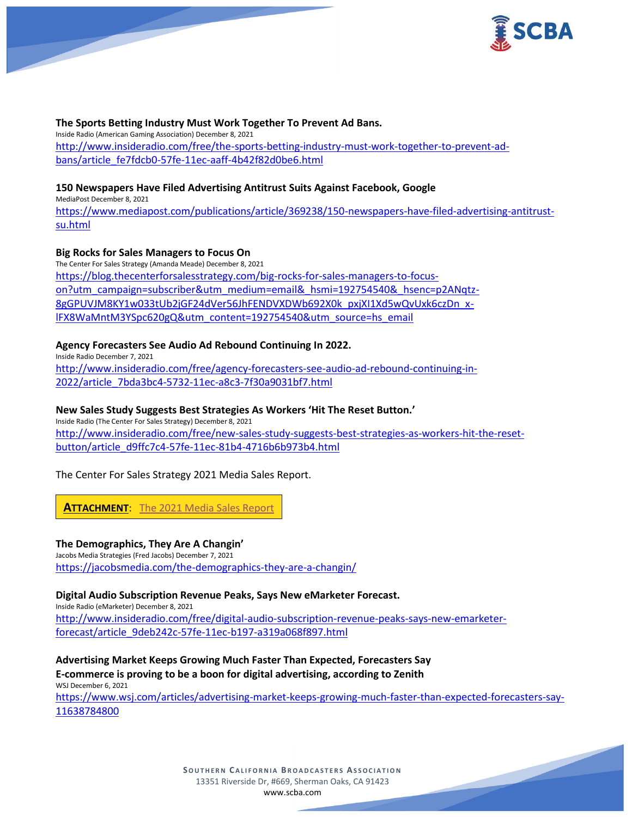



### **The Sports Betting Industry Must Work Together To Prevent Ad Bans.**

Inside Radio (American Gaming Association) December 8, 2021 [http://www.insideradio.com/free/the-sports-betting-industry-must-work-together-to-prevent-ad](http://www.insideradio.com/free/the-sports-betting-industry-must-work-together-to-prevent-ad-bans/article_fe7fdcb0-57fe-11ec-aaff-4b42f82d0be6.html)[bans/article\\_fe7fdcb0-57fe-11ec-aaff-4b42f82d0be6.html](http://www.insideradio.com/free/the-sports-betting-industry-must-work-together-to-prevent-ad-bans/article_fe7fdcb0-57fe-11ec-aaff-4b42f82d0be6.html)

### **150 Newspapers Have Filed Advertising Antitrust Suits Against Facebook, Google**

MediaPost December 8, 2021

[https://www.mediapost.com/publications/article/369238/150-newspapers-have-filed-advertising-antitrust](https://www.mediapost.com/publications/article/369238/150-newspapers-have-filed-advertising-antitrust-su.html)[su.html](https://www.mediapost.com/publications/article/369238/150-newspapers-have-filed-advertising-antitrust-su.html)

# **Big Rocks for Sales Managers to Focus On**

The Center For Sales Strategy (Amanda Meade) December 8, 2021 [https://blog.thecenterforsalesstrategy.com/big-rocks-for-sales-managers-to-focus](https://blog.thecenterforsalesstrategy.com/big-rocks-for-sales-managers-to-focus-on?utm_campaign=subscriber&utm_medium=email&_hsmi=192754540&_hsenc=p2ANqtz-8gGPUVJM8KY1w033tUb2jGF24dVer56JhFENDVXDWb692X0k_pxjXI1Xd5wQvUxk6czDn_x-lFX8WaMntM3YSpc620gQ&utm_content=192754540&utm_source=hs_email)[on?utm\\_campaign=subscriber&utm\\_medium=email&\\_hsmi=192754540&\\_hsenc=p2ANqtz-](https://blog.thecenterforsalesstrategy.com/big-rocks-for-sales-managers-to-focus-on?utm_campaign=subscriber&utm_medium=email&_hsmi=192754540&_hsenc=p2ANqtz-8gGPUVJM8KY1w033tUb2jGF24dVer56JhFENDVXDWb692X0k_pxjXI1Xd5wQvUxk6czDn_x-lFX8WaMntM3YSpc620gQ&utm_content=192754540&utm_source=hs_email)[8gGPUVJM8KY1w033tUb2jGF24dVer56JhFENDVXDWb692X0k\\_pxjXI1Xd5wQvUxk6czDn\\_x](https://blog.thecenterforsalesstrategy.com/big-rocks-for-sales-managers-to-focus-on?utm_campaign=subscriber&utm_medium=email&_hsmi=192754540&_hsenc=p2ANqtz-8gGPUVJM8KY1w033tUb2jGF24dVer56JhFENDVXDWb692X0k_pxjXI1Xd5wQvUxk6czDn_x-lFX8WaMntM3YSpc620gQ&utm_content=192754540&utm_source=hs_email)[lFX8WaMntM3YSpc620gQ&utm\\_content=192754540&utm\\_source=hs\\_email](https://blog.thecenterforsalesstrategy.com/big-rocks-for-sales-managers-to-focus-on?utm_campaign=subscriber&utm_medium=email&_hsmi=192754540&_hsenc=p2ANqtz-8gGPUVJM8KY1w033tUb2jGF24dVer56JhFENDVXDWb692X0k_pxjXI1Xd5wQvUxk6czDn_x-lFX8WaMntM3YSpc620gQ&utm_content=192754540&utm_source=hs_email)

# **Agency Forecasters See Audio Ad Rebound Continuing In 2022.**

Inside Radio December 7, 2021 [http://www.insideradio.com/free/agency-forecasters-see-audio-ad-rebound-continuing-in-](http://www.insideradio.com/free/agency-forecasters-see-audio-ad-rebound-continuing-in-2022/article_7bda3bc4-5732-11ec-a8c3-7f30a9031bf7.html)[2022/article\\_7bda3bc4-5732-11ec-a8c3-7f30a9031bf7.html](http://www.insideradio.com/free/agency-forecasters-see-audio-ad-rebound-continuing-in-2022/article_7bda3bc4-5732-11ec-a8c3-7f30a9031bf7.html)

# **New Sales Study Suggests Best Strategies As Workers 'Hit The Reset Button.'**

Inside Radio (The Center For Sales Strategy) December 8, 2021 [http://www.insideradio.com/free/new-sales-study-suggests-best-strategies-as-workers-hit-the-reset](http://www.insideradio.com/free/new-sales-study-suggests-best-strategies-as-workers-hit-the-reset-button/article_d9ffc7c4-57fe-11ec-81b4-4716b6b973b4.html)[button/article\\_d9ffc7c4-57fe-11ec-81b4-4716b6b973b4.html](http://www.insideradio.com/free/new-sales-study-suggests-best-strategies-as-workers-hit-the-reset-button/article_d9ffc7c4-57fe-11ec-81b4-4716b6b973b4.html)

# The Center For Sales Strategy 2021 Media Sales Report.

**ATTACHMENT**: [The 2021 Media Sales Report](https://scba.com/wp-content/uploads/2021/12/The-2021-Media-Sales-Report.pdf)

# **The Demographics, They Are A Changin'**

Jacobs Media Strategies (Fred Jacobs) December 7, 2021 <https://jacobsmedia.com/the-demographics-they-are-a-changin/>

# **Digital Audio Subscription Revenue Peaks, Says New eMarketer Forecast.**

Inside Radio (eMarketer) December 8, 2021 [http://www.insideradio.com/free/digital-audio-subscription-revenue-peaks-says-new-emarketer](http://www.insideradio.com/free/digital-audio-subscription-revenue-peaks-says-new-emarketer-forecast/article_9deb242c-57fe-11ec-b197-a319a068f897.html)[forecast/article\\_9deb242c-57fe-11ec-b197-a319a068f897.html](http://www.insideradio.com/free/digital-audio-subscription-revenue-peaks-says-new-emarketer-forecast/article_9deb242c-57fe-11ec-b197-a319a068f897.html)

**Advertising Market Keeps Growing Much Faster Than Expected, Forecasters Say E-commerce is proving to be a boon for digital advertising, according to Zenith** WSJ December 6, 2021

[https://www.wsj.com/articles/advertising-market-keeps-growing-much-faster-than-expected-forecasters-say-](https://www.wsj.com/articles/advertising-market-keeps-growing-much-faster-than-expected-forecasters-say-11638784800)[11638784800](https://www.wsj.com/articles/advertising-market-keeps-growing-much-faster-than-expected-forecasters-say-11638784800)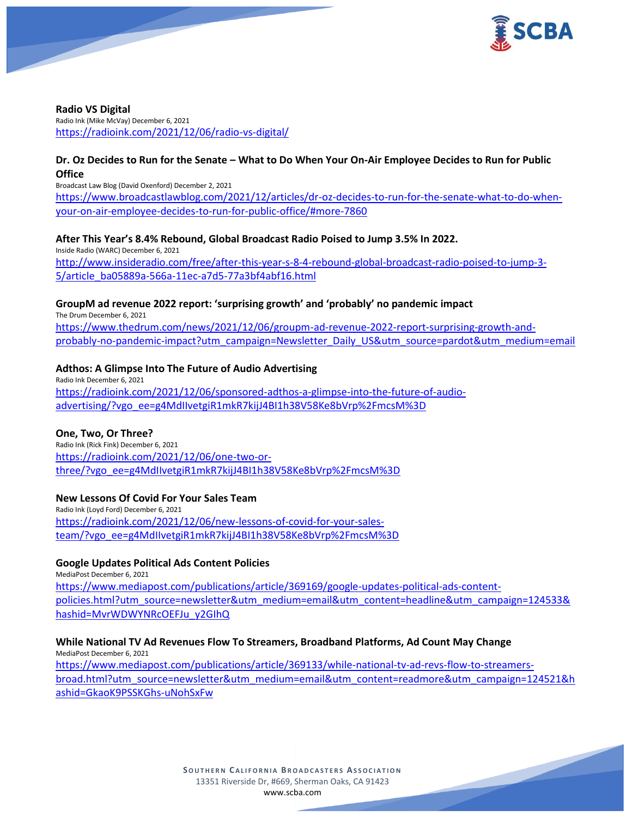

**Radio VS Digital** Radio Ink (Mike McVay) December 6, 2021 <https://radioink.com/2021/12/06/radio-vs-digital/>

### **Dr. Oz Decides to Run for the Senate – What to Do When Your On-Air Employee Decides to Run for Public Office**

Broadcast Law Blog (David Oxenford) December 2, 2021 [https://www.broadcastlawblog.com/2021/12/articles/dr-oz-decides-to-run-for-the-senate-what-to-do-when](https://www.broadcastlawblog.com/2021/12/articles/dr-oz-decides-to-run-for-the-senate-what-to-do-when-your-on-air-employee-decides-to-run-for-public-office/#more-7860)[your-on-air-employee-decides-to-run-for-public-office/#more-7860](https://www.broadcastlawblog.com/2021/12/articles/dr-oz-decides-to-run-for-the-senate-what-to-do-when-your-on-air-employee-decides-to-run-for-public-office/#more-7860)

### **After This Year's 8.4% Rebound, Global Broadcast Radio Poised to Jump 3.5% In 2022.**

Inside Radio (WARC) December 6, 2021 [http://www.insideradio.com/free/after-this-year-s-8-4-rebound-global-broadcast-radio-poised-to-jump-3-](http://www.insideradio.com/free/after-this-year-s-8-4-rebound-global-broadcast-radio-poised-to-jump-3-5/article_ba05889a-566a-11ec-a7d5-77a3bf4abf16.html) [5/article\\_ba05889a-566a-11ec-a7d5-77a3bf4abf16.html](http://www.insideradio.com/free/after-this-year-s-8-4-rebound-global-broadcast-radio-poised-to-jump-3-5/article_ba05889a-566a-11ec-a7d5-77a3bf4abf16.html)

# **GroupM ad revenue 2022 report: 'surprising growth' and 'probably' no pandemic impact**

The Drum December 6, 2021 [https://www.thedrum.com/news/2021/12/06/groupm-ad-revenue-2022-report-surprising-growth-and](https://www.thedrum.com/news/2021/12/06/groupm-ad-revenue-2022-report-surprising-growth-and-probably-no-pandemic-impact?utm_campaign=Newsletter_Daily_US&utm_source=pardot&utm_medium=email)[probably-no-pandemic-impact?utm\\_campaign=Newsletter\\_Daily\\_US&utm\\_source=pardot&utm\\_medium=email](https://www.thedrum.com/news/2021/12/06/groupm-ad-revenue-2022-report-surprising-growth-and-probably-no-pandemic-impact?utm_campaign=Newsletter_Daily_US&utm_source=pardot&utm_medium=email)

### **Adthos: A Glimpse Into The Future of Audio Advertising**

Radio Ink December 6, 2021 [https://radioink.com/2021/12/06/sponsored-adthos-a-glimpse-into-the-future-of-audio](https://radioink.com/2021/12/06/sponsored-adthos-a-glimpse-into-the-future-of-audio-advertising/?vgo_ee=g4MdIIvetgiR1mkR7kijJ4BI1h38V58Ke8bVrp%2FmcsM%3D)[advertising/?vgo\\_ee=g4MdIIvetgiR1mkR7kijJ4BI1h38V58Ke8bVrp%2FmcsM%3D](https://radioink.com/2021/12/06/sponsored-adthos-a-glimpse-into-the-future-of-audio-advertising/?vgo_ee=g4MdIIvetgiR1mkR7kijJ4BI1h38V58Ke8bVrp%2FmcsM%3D)

#### **One, Two, Or Three?**

Radio Ink (Rick Fink) December 6, 2021 [https://radioink.com/2021/12/06/one-two-or](https://radioink.com/2021/12/06/one-two-or-three/?vgo_ee=g4MdIIvetgiR1mkR7kijJ4BI1h38V58Ke8bVrp%2FmcsM%3D)[three/?vgo\\_ee=g4MdIIvetgiR1mkR7kijJ4BI1h38V58Ke8bVrp%2FmcsM%3D](https://radioink.com/2021/12/06/one-two-or-three/?vgo_ee=g4MdIIvetgiR1mkR7kijJ4BI1h38V58Ke8bVrp%2FmcsM%3D)

#### **New Lessons Of Covid For Your Sales Team**

Radio Ink (Loyd Ford) December 6, 2021 [https://radioink.com/2021/12/06/new-lessons-of-covid-for-your-sales](https://radioink.com/2021/12/06/new-lessons-of-covid-for-your-sales-team/?vgo_ee=g4MdIIvetgiR1mkR7kijJ4BI1h38V58Ke8bVrp%2FmcsM%3D)[team/?vgo\\_ee=g4MdIIvetgiR1mkR7kijJ4BI1h38V58Ke8bVrp%2FmcsM%3D](https://radioink.com/2021/12/06/new-lessons-of-covid-for-your-sales-team/?vgo_ee=g4MdIIvetgiR1mkR7kijJ4BI1h38V58Ke8bVrp%2FmcsM%3D)

### **Google Updates Political Ads Content Policies**

MediaPost December 6, 2021 [https://www.mediapost.com/publications/article/369169/google-updates-political-ads-content](https://www.mediapost.com/publications/article/369169/google-updates-political-ads-content-policies.html?utm_source=newsletter&utm_medium=email&utm_content=headline&utm_campaign=124533&hashid=MvrWDWYNRcOEFJu_y2GIhQ)[policies.html?utm\\_source=newsletter&utm\\_medium=email&utm\\_content=headline&utm\\_campaign=124533&](https://www.mediapost.com/publications/article/369169/google-updates-political-ads-content-policies.html?utm_source=newsletter&utm_medium=email&utm_content=headline&utm_campaign=124533&hashid=MvrWDWYNRcOEFJu_y2GIhQ) [hashid=MvrWDWYNRcOEFJu\\_y2GIhQ](https://www.mediapost.com/publications/article/369169/google-updates-political-ads-content-policies.html?utm_source=newsletter&utm_medium=email&utm_content=headline&utm_campaign=124533&hashid=MvrWDWYNRcOEFJu_y2GIhQ)

# **While National TV Ad Revenues Flow To Streamers, Broadband Platforms, Ad Count May Change**

MediaPost December 6, 2021 [https://www.mediapost.com/publications/article/369133/while-national-tv-ad-revs-flow-to-streamers](https://www.mediapost.com/publications/article/369133/while-national-tv-ad-revs-flow-to-streamers-broad.html?utm_source=newsletter&utm_medium=email&utm_content=readmore&utm_campaign=124521&hashid=GkaoK9PSSKGhs-uNohSxFw)[broad.html?utm\\_source=newsletter&utm\\_medium=email&utm\\_content=readmore&utm\\_campaign=124521&h](https://www.mediapost.com/publications/article/369133/while-national-tv-ad-revs-flow-to-streamers-broad.html?utm_source=newsletter&utm_medium=email&utm_content=readmore&utm_campaign=124521&hashid=GkaoK9PSSKGhs-uNohSxFw) [ashid=GkaoK9PSSKGhs-uNohSxFw](https://www.mediapost.com/publications/article/369133/while-national-tv-ad-revs-flow-to-streamers-broad.html?utm_source=newsletter&utm_medium=email&utm_content=readmore&utm_campaign=124521&hashid=GkaoK9PSSKGhs-uNohSxFw)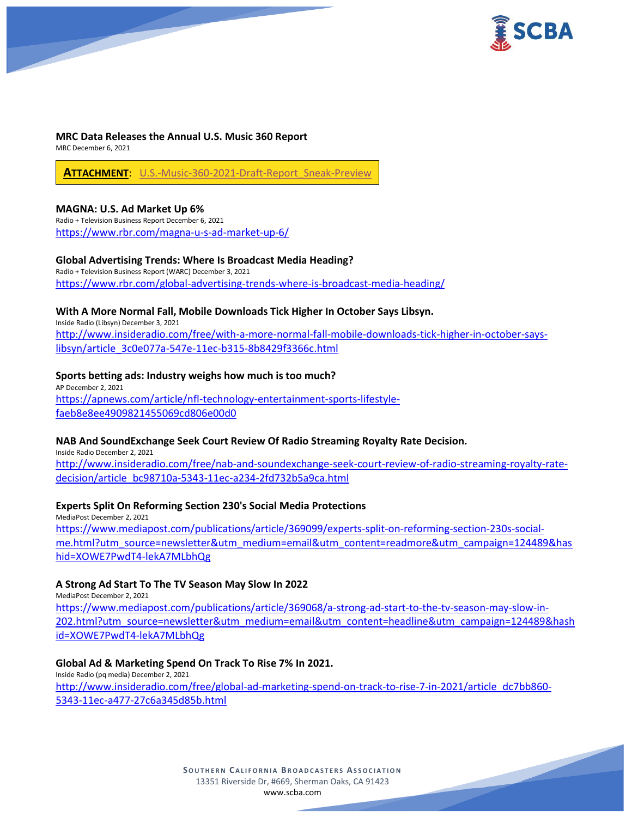



#### **MRC Data Releases the Annual U.S. Music 360 Report**

MRC December 6, 2021

**ATTACHMENT**: [U.S.-Music-360-2021-Draft-Report\\_Sneak-Preview](https://scba.com/wp-content/uploads/2021/12/U.S.-Music-360-2021-Draft-Report_Sneak-Preview_Sept-2021.pdf)

### **MAGNA: U.S. Ad Market Up 6%**

Radio + Television Business Report December 6, 2021 <https://www.rbr.com/magna-u-s-ad-market-up-6/>

### **Global Advertising Trends: Where Is Broadcast Media Heading?**

Radio + Television Business Report (WARC) December 3, 2021 <https://www.rbr.com/global-advertising-trends-where-is-broadcast-media-heading/>

# **With A More Normal Fall, Mobile Downloads Tick Higher In October Says Libsyn.**

Inside Radio (Libsyn) December 3, 2021 [http://www.insideradio.com/free/with-a-more-normal-fall-mobile-downloads-tick-higher-in-october-says](http://www.insideradio.com/free/with-a-more-normal-fall-mobile-downloads-tick-higher-in-october-says-libsyn/article_3c0e077a-547e-11ec-b315-8b8429f3366c.html)[libsyn/article\\_3c0e077a-547e-11ec-b315-8b8429f3366c.html](http://www.insideradio.com/free/with-a-more-normal-fall-mobile-downloads-tick-higher-in-october-says-libsyn/article_3c0e077a-547e-11ec-b315-8b8429f3366c.html)

# **Sports betting ads: Industry weighs how much is too much?**

AP December 2, 2021 [https://apnews.com/article/nfl-technology-entertainment-sports-lifestyle](https://apnews.com/article/nfl-technology-entertainment-sports-lifestyle-faeb8e8ee4909821455069cd806e00d0)[faeb8e8ee4909821455069cd806e00d0](https://apnews.com/article/nfl-technology-entertainment-sports-lifestyle-faeb8e8ee4909821455069cd806e00d0)

# **NAB And SoundExchange Seek Court Review Of Radio Streaming Royalty Rate Decision.**

Inside Radio December 2, 2021 [http://www.insideradio.com/free/nab-and-soundexchange-seek-court-review-of-radio-streaming-royalty-rate](http://www.insideradio.com/free/nab-and-soundexchange-seek-court-review-of-radio-streaming-royalty-rate-decision/article_bc98710a-5343-11ec-a234-2fd732b5a9ca.html)[decision/article\\_bc98710a-5343-11ec-a234-2fd732b5a9ca.html](http://www.insideradio.com/free/nab-and-soundexchange-seek-court-review-of-radio-streaming-royalty-rate-decision/article_bc98710a-5343-11ec-a234-2fd732b5a9ca.html)

# **Experts Split On Reforming Section 230's Social Media Protections**

MediaPost December 2, 2021 [https://www.mediapost.com/publications/article/369099/experts-split-on-reforming-section-230s-social](https://www.mediapost.com/publications/article/369099/experts-split-on-reforming-section-230s-social-me.html?utm_source=newsletter&utm_medium=email&utm_content=readmore&utm_campaign=124489&hashid=XOWE7PwdT4-lekA7MLbhQg)[me.html?utm\\_source=newsletter&utm\\_medium=email&utm\\_content=readmore&utm\\_campaign=124489&has](https://www.mediapost.com/publications/article/369099/experts-split-on-reforming-section-230s-social-me.html?utm_source=newsletter&utm_medium=email&utm_content=readmore&utm_campaign=124489&hashid=XOWE7PwdT4-lekA7MLbhQg) [hid=XOWE7PwdT4-lekA7MLbhQg](https://www.mediapost.com/publications/article/369099/experts-split-on-reforming-section-230s-social-me.html?utm_source=newsletter&utm_medium=email&utm_content=readmore&utm_campaign=124489&hashid=XOWE7PwdT4-lekA7MLbhQg)

# **A Strong Ad Start To The TV Season May Slow In 2022**

MediaPost December 2, 2021 [https://www.mediapost.com/publications/article/369068/a-strong-ad-start-to-the-tv-season-may-slow-in-](https://www.mediapost.com/publications/article/369068/a-strong-ad-start-to-the-tv-season-may-slow-in-202.html?utm_source=newsletter&utm_medium=email&utm_content=headline&utm_campaign=124489&hashid=XOWE7PwdT4-lekA7MLbhQg)[202.html?utm\\_source=newsletter&utm\\_medium=email&utm\\_content=headline&utm\\_campaign=124489&hash](https://www.mediapost.com/publications/article/369068/a-strong-ad-start-to-the-tv-season-may-slow-in-202.html?utm_source=newsletter&utm_medium=email&utm_content=headline&utm_campaign=124489&hashid=XOWE7PwdT4-lekA7MLbhQg) [id=XOWE7PwdT4-lekA7MLbhQg](https://www.mediapost.com/publications/article/369068/a-strong-ad-start-to-the-tv-season-may-slow-in-202.html?utm_source=newsletter&utm_medium=email&utm_content=headline&utm_campaign=124489&hashid=XOWE7PwdT4-lekA7MLbhQg)

#### **Global Ad & Marketing Spend On Track To Rise 7% In 2021.**

Inside Radio (pq media) December 2, 2021 [http://www.insideradio.com/free/global-ad-marketing-spend-on-track-to-rise-7-in-2021/article\\_dc7bb860-](http://www.insideradio.com/free/global-ad-marketing-spend-on-track-to-rise-7-in-2021/article_dc7bb860-5343-11ec-a477-27c6a345d85b.html) [5343-11ec-a477-27c6a345d85b.html](http://www.insideradio.com/free/global-ad-marketing-spend-on-track-to-rise-7-in-2021/article_dc7bb860-5343-11ec-a477-27c6a345d85b.html)